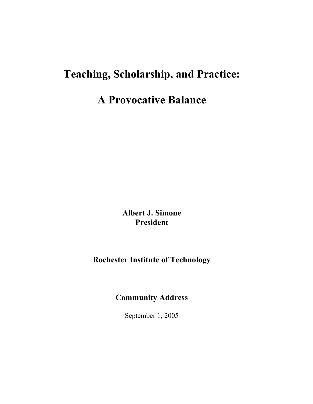# **Teaching, Scholarship, and Practice:**

## **A Provocative Balance**

**Albert J. Simone President**

### **Rochester Institute of Technology**

### **Community Address**

September 1, 2005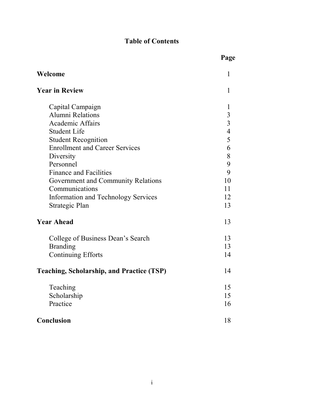### **Table of Contents**

|                                                  | Page           |
|--------------------------------------------------|----------------|
| Welcome                                          | 1              |
| <b>Year in Review</b>                            | 1              |
| Capital Campaign                                 | $\mathbf{1}$   |
| Alumni Relations                                 |                |
| <b>Academic Affairs</b>                          | $\frac{3}{3}$  |
| <b>Student Life</b>                              | $\overline{4}$ |
| <b>Student Recognition</b>                       | 5              |
| <b>Enrollment and Career Services</b>            | 6              |
| Diversity                                        | 8              |
| Personnel                                        | 9              |
| <b>Finance and Facilities</b>                    | 9              |
| Government and Community Relations               | 10             |
| Communications                                   | 11             |
| <b>Information and Technology Services</b>       | 12             |
| Strategic Plan                                   | 13             |
| <b>Year Ahead</b>                                | 13             |
| College of Business Dean's Search                | 13             |
| <b>Branding</b>                                  | 13             |
| <b>Continuing Efforts</b>                        | 14             |
| <b>Teaching, Scholarship, and Practice (TSP)</b> | 14             |
| Teaching                                         | 15             |
| Scholarship                                      | 15             |
| Practice                                         | 16             |
| <b>Conclusion</b>                                | 18             |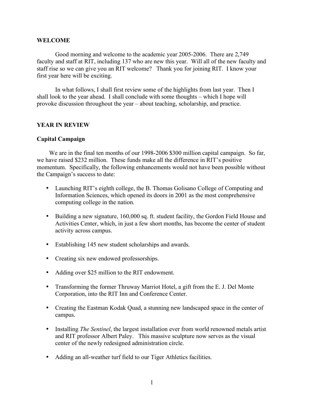#### **WELCOME**

Good morning and welcome to the academic year 2005-2006. There are 2,749 faculty and staff at RIT, including 137 who are new this year. Will all of the new faculty and staff rise so we can give you an RIT welcome? Thank you for joining RIT. I know your first year here will be exciting.

In what follows, I shall first review some of the highlights from last year. Then I shall look to the year ahead. I shall conclude with some thoughts – which I hope will provoke discussion throughout the year – about teaching, scholarship, and practice.

#### **YEAR IN REVIEW**

#### **Capital Campaign**

We are in the final ten months of our 1998-2006 \$300 million capital campaign. So far, we have raised \$232 million. These funds make all the difference in RIT's positive momentum. Specifically, the following enhancements would not have been possible without the Campaign's success to date:

- Launching RIT's eighth college, the B. Thomas Golisano College of Computing and Information Sciences, which opened its doors in 2001 as the most comprehensive computing college in the nation.
- Building a new signature, 160,000 sq. ft. student facility, the Gordon Field House and Activities Center, which, in just a few short months, has become the center of student activity across campus.
- Establishing 145 new student scholarships and awards.
- Creating six new endowed professorships.
- Adding over \$25 million to the RIT endowment.
- Transforming the former Thruway Marriot Hotel, a gift from the E. J. Del Monte Corporation, into the RIT Inn and Conference Center.
- Creating the Eastman Kodak Quad, a stunning new landscaped space in the center of campus.
- Installing *The Sentinel*, the largest installation ever from world renowned metals artist and RIT professor Albert Paley. This massive sculpture now serves as the visual center of the newly redesigned administration circle.
- Adding an all-weather turf field to our Tiger Athletics facilities.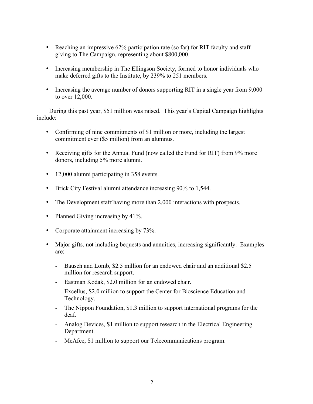- Reaching an impressive 62% participation rate (so far) for RIT faculty and staff giving to The Campaign, representing about \$800,000.
- Increasing membership in The Ellingson Society, formed to honor individuals who make deferred gifts to the Institute, by 239% to 251 members.
- Increasing the average number of donors supporting RIT in a single year from 9,000 to over 12,000.

During this past year, \$51 million was raised. This year's Capital Campaign highlights include:

- Confirming of nine commitments of \$1 million or more, including the largest commitment ever (\$5 million) from an alumnus.
- Receiving gifts for the Annual Fund (now called the Fund for RIT) from 9% more donors, including 5% more alumni.
- 12,000 alumni participating in 358 events.
- Brick City Festival alumni attendance increasing 90% to 1,544.
- The Development staff having more than 2,000 interactions with prospects.
- Planned Giving increasing by 41%.
- Corporate attainment increasing by 73%.
- Major gifts, not including bequests and annuities, increasing significantly. Examples are:
	- Bausch and Lomb, \$2.5 million for an endowed chair and an additional \$2.5 million for research support.
	- Eastman Kodak, \$2.0 million for an endowed chair.
	- Excellus, \$2.0 million to support the Center for Bioscience Education and Technology.
	- The Nippon Foundation, \$1.3 million to support international programs for the deaf.
	- Analog Devices, \$1 million to support research in the Electrical Engineering Department.
	- McAfee, \$1 million to support our Telecommunications program.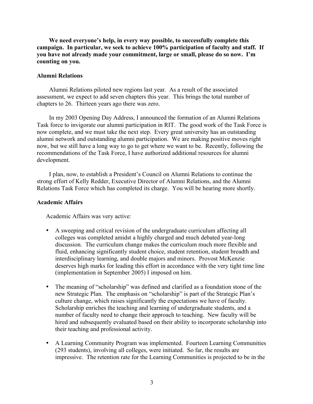**We need everyone's help, in every way possible, to successfully complete this campaign. In particular, we seek to achieve 100% participation of faculty and staff. If you have not already made your commitment, large or small, please do so now. I'm counting on you.**

#### **Alumni Relations**

Alumni Relations piloted new regions last year. As a result of the associated assessment, we expect to add seven chapters this year. This brings the total number of chapters to 26. Thirteen years ago there was zero.

In my 2003 Opening Day Address, I announced the formation of an Alumni Relations Task force to invigorate our alumni participation in RIT. The good work of the Task Force is now complete, and we must take the next step. Every great university has an outstanding alumni network and outstanding alumni participation. We are making positive moves right now, but we still have a long way to go to get where we want to be. Recently, following the recommendations of the Task Force, I have authorized additional resources for alumni development.

I plan, now, to establish a President's Council on Alumni Relations to continue the strong effort of Kelly Redder, Executive Director of Alumni Relations, and the Alumni Relations Task Force which has completed its charge. You will be hearing more shortly.

#### **Academic Affairs**

Academic Affairs was very active:

- A sweeping and critical revision of the undergraduate curriculum affecting all colleges was completed amidst a highly charged and much debated year-long discussion. The curriculum change makes the curriculum much more flexible and fluid, enhancing significantly student choice, student retention, student breadth and interdisciplinary learning, and double majors and minors. Provost McKenzie deserves high marks for leading this effort in accordance with the very tight time line (implementation in September 2005) I imposed on him.
- The meaning of "scholarship" was defined and clarified as a foundation stone of the new Strategic Plan. The emphasis on "scholarship" is part of the Strategic Plan's culture change, which raises significantly the expectations we have of faculty. Scholarship enriches the teaching and learning of undergraduate students, and a number of faculty need to change their approach to teaching. New faculty will be hired and subsequently evaluated based on their ability to incorporate scholarship into their teaching and professional activity.
- A Learning Community Program was implemented. Fourteen Learning Communities (293 students), involving all colleges, were initiated. So far, the results are impressive. The retention rate for the Learning Communities is projected to be in the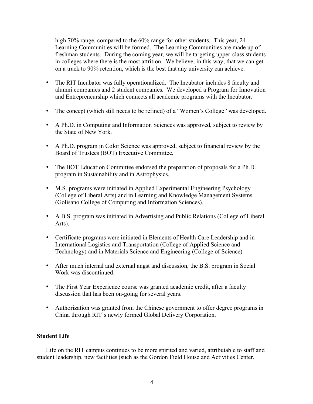high 70% range, compared to the 60% range for other students. This year, 24 Learning Communities will be formed. The Learning Communities are made up of freshman students. During the coming year, we will be targeting upper-class students in colleges where there is the most attrition. We believe, in this way, that we can get on a track to 90% retention, which is the best that any university can achieve.

- The RIT Incubator was fully operationalized. The Incubator includes 8 faculty and alumni companies and 2 student companies. We developed a Program for Innovation and Entrepreneurship which connects all academic programs with the Incubator.
- The concept (which still needs to be refined) of a "Women's College" was developed.
- A Ph.D. in Computing and Information Sciences was approved, subject to review by the State of New York.
- A Ph.D. program in Color Science was approved, subject to financial review by the Board of Trustees (BOT) Executive Committee.
- The BOT Education Committee endorsed the preparation of proposals for a Ph.D. program in Sustainability and in Astrophysics.
- M.S. programs were initiated in Applied Experimental Engineering Psychology (College of Liberal Arts) and in Learning and Knowledge Management Systems (Golisano College of Computing and Information Sciences).
- A B.S. program was initiated in Advertising and Public Relations (College of Liberal Arts).
- Certificate programs were initiated in Elements of Health Care Leadership and in International Logistics and Transportation (College of Applied Science and Technology) and in Materials Science and Engineering (College of Science).
- After much internal and external angst and discussion, the B.S. program in Social Work was discontinued.
- The First Year Experience course was granted academic credit, after a faculty discussion that has been on-going for several years.
- Authorization was granted from the Chinese government to offer degree programs in China through RIT's newly formed Global Delivery Corporation.

#### **Student Life**

Life on the RIT campus continues to be more spirited and varied, attributable to staff and student leadership, new facilities (such as the Gordon Field House and Activities Center,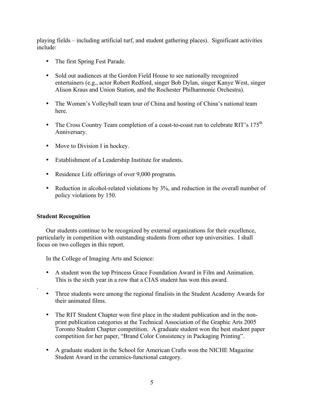playing fields – including artificial turf, and student gathering places). Significant activities include:

- The first Spring Fest Parade.
- Sold out audiences at the Gordon Field House to see nationally recognized entertainers (e.g., actor Robert Redford, singer Bob Dylan, singer Kanye West, singer Alison Kraus and Union Station, and the Rochester Philharmonic Orchestra).
- The Women's Volleyball team tour of China and hosting of China's national team here.
- The Cross Country Team completion of a coast-to-coast run to celebrate RIT's  $175<sup>th</sup>$ Anniversary.
- Move to Division I in hockey.
- Establishment of a Leadership Institute for students.
- Residence Life offerings of over 9,000 programs.
- Reduction in alcohol-related violations by 3%, and reduction in the overall number of policy violations by 150.

#### **Student Recognition**

.

Our students continue to be recognized by external organizations for their excellence, particularly in competition with outstanding students from other top universities. I shall focus on two colleges in this report.

In the College of Imaging Arts and Science:

- A student won the top Princess Grace Foundation Award in Film and Animation. This is the sixth year in a row that a CIAS student has won this award.
- Three students were among the regional finalists in the Student Academy Awards for their animated films.
- The RIT Student Chapter won first place in the student publication and in the nonprint publication categories at the Technical Association of the Graphic Arts 2005 Toronto Student Chapter competition. A graduate student won the best student paper competition for her paper, "Brand Color Consistency in Packaging Printing".
- A graduate student in the School for American Crafts won the NICHE Magazine Student Award in the ceramics-functional category.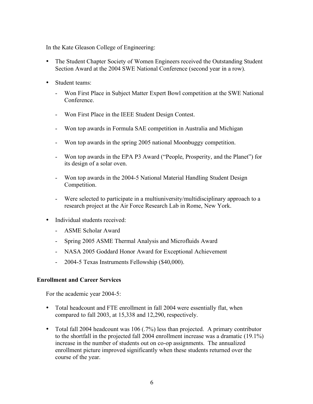In the Kate Gleason College of Engineering:

- The Student Chapter Society of Women Engineers received the Outstanding Student Section Award at the 2004 SWE National Conference (second year in a row).
- Student teams:
	- Won First Place in Subject Matter Expert Bowl competition at the SWE National Conference.
	- Won First Place in the IEEE Student Design Contest.
	- Won top awards in Formula SAE competition in Australia and Michigan
	- Won top awards in the spring 2005 national Moonbuggy competition.
	- Won top awards in the EPA P3 Award ("People, Prosperity, and the Planet") for its design of a solar oven.
	- Won top awards in the 2004-5 National Material Handling Student Design Competition.
	- Were selected to participate in a multiuniversity/multidisciplinary approach to a research project at the Air Force Research Lab in Rome, New York.
- Individual students received:
	- ASME Scholar Award
	- Spring 2005 ASME Thermal Analysis and Microfluids Award
	- NASA 2005 Goddard Honor Award for Exceptional Achievement
	- 2004-5 Texas Instruments Fellowship (\$40,000).

#### **Enrollment and Career Services**

For the academic year 2004-5:

- Total headcount and FTE enrollment in fall 2004 were essentially flat, when compared to fall 2003, at 15,338 and 12,290, respectively.
- Total fall 2004 headcount was 106 (.7%) less than projected. A primary contributor to the shortfall in the projected fall 2004 enrollment increase was a dramatic (19.1%) increase in the number of students out on co-op assignments. The annualized enrollment picture improved significantly when these students returned over the course of the year.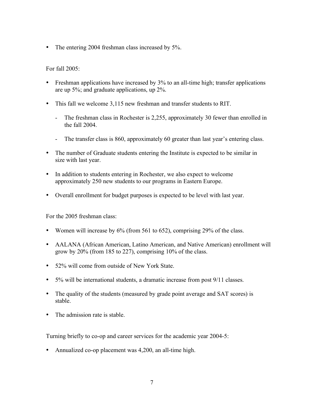• The entering 2004 freshman class increased by 5%.

For fall 2005:

- Freshman applications have increased by 3% to an all-time high; transfer applications are up 5%; and graduate applications, up 2%.
- This fall we welcome 3,115 new freshman and transfer students to RIT.
	- The freshman class in Rochester is 2,255, approximately 30 fewer than enrolled in the fall 2004.
	- The transfer class is 860, approximately 60 greater than last year's entering class.
- The number of Graduate students entering the Institute is expected to be similar in size with last year.
- In addition to students entering in Rochester, we also expect to welcome approximately 250 new students to our programs in Eastern Europe.
- Overall enrollment for budget purposes is expected to be level with last year.

For the 2005 freshman class:

- Women will increase by 6% (from 561 to 652), comprising 29% of the class.
- AALANA (African American, Latino American, and Native American) enrollment will grow by 20% (from 185 to 227), comprising 10% of the class.
- 52% will come from outside of New York State.
- 5% will be international students, a dramatic increase from post 9/11 classes.
- The quality of the students (measured by grade point average and SAT scores) is stable.
- The admission rate is stable.

Turning briefly to co-op and career services for the academic year 2004-5:

• Annualized co-op placement was 4,200, an all-time high.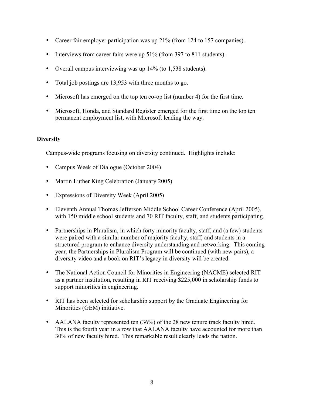- Career fair employer participation was up 21% (from 124 to 157 companies).
- Interviews from career fairs were up 51% (from 397 to 811 students).
- Overall campus interviewing was up 14% (to 1,538 students).
- Total job postings are 13,953 with three months to go.
- Microsoft has emerged on the top ten co-op list (number 4) for the first time.
- Microsoft, Honda, and Standard Register emerged for the first time on the top ten permanent employment list, with Microsoft leading the way.

#### **Diversity**

Campus-wide programs focusing on diversity continued. Highlights include:

- Campus Week of Dialogue (October 2004)
- Martin Luther King Celebration (January 2005)
- Expressions of Diversity Week (April 2005)
- Eleventh Annual Thomas Jefferson Middle School Career Conference (April 2005), with 150 middle school students and 70 RIT faculty, staff, and students participating.
- Partnerships in Pluralism, in which forty minority faculty, staff, and (a few) students were paired with a similar number of majority faculty, staff, and students in a structured program to enhance diversity understanding and networking. This coming year, the Partnerships in Pluralism Program will be continued (with new pairs), a diversity video and a book on RIT's legacy in diversity will be created.
- The National Action Council for Minorities in Engineering (NACME) selected RIT as a partner institution, resulting in RIT receiving \$225,000 in scholarship funds to support minorities in engineering.
- RIT has been selected for scholarship support by the Graduate Engineering for Minorities (GEM) initiative.
- AALANA faculty represented ten (36%) of the 28 new tenure track faculty hired. This is the fourth year in a row that AALANA faculty have accounted for more than 30% of new faculty hired. This remarkable result clearly leads the nation.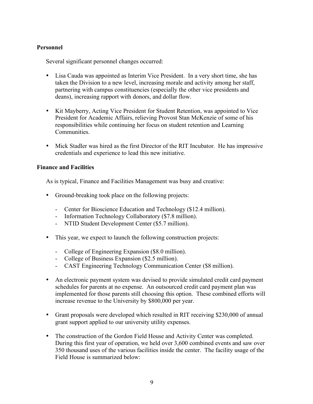#### **Personnel**

Several significant personnel changes occurred:

- Lisa Cauda was appointed as Interim Vice President. In a very short time, she has taken the Division to a new level, increasing morale and activity among her staff, partnering with campus constituencies (especially the other vice presidents and deans), increasing rapport with donors, and dollar flow.
- Kit Mayberry, Acting Vice President for Student Retention, was appointed to Vice President for Academic Affairs, relieving Provost Stan McKenzie of some of his responsibilities while continuing her focus on student retention and Learning Communities.
- Mick Stadler was hired as the first Director of the RIT Incubator. He has impressive credentials and experience to lead this new initiative.

#### **Finance and Facilities**

As is typical, Finance and Facilities Management was busy and creative:

- Ground-breaking took place on the following projects:
	- Center for Bioscience Education and Technology (\$12.4 million).
	- Information Technology Collaboratory (\$7.8 million).
	- NTID Student Development Center (\$5.7 million).
- This year, we expect to launch the following construction projects:
	- College of Engineering Expansion (\$8.0 million).
	- College of Business Expansion (\$2.5 million).
	- CAST Engineering Technology Communication Center (\$8 million).
- An electronic payment system was devised to provide simulated credit card payment schedules for parents at no expense. An outsourced credit card payment plan was implemented for those parents still choosing this option. These combined efforts will increase revenue to the University by \$800,000 per year.
- Grant proposals were developed which resulted in RIT receiving \$230,000 of annual grant support applied to our university utility expenses.
- The construction of the Gordon Field House and Activity Center was completed. During this first year of operation, we held over 3,600 combined events and saw over 350 thousand uses of the various facilities inside the center. The facility usage of the Field House is summarized below: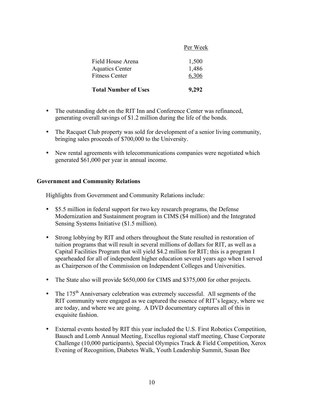| <b>Total Number of Uses</b>                                          | 9,292                   |
|----------------------------------------------------------------------|-------------------------|
| Field House Arena<br><b>Aquatics Center</b><br><b>Fitness Center</b> | 1,500<br>1,486<br>6,306 |
|                                                                      |                         |

Per Week

- The outstanding debt on the RIT Inn and Conference Center was refinanced, generating overall savings of \$1.2 million during the life of the bonds.
- The Racquet Club property was sold for development of a senior living community, bringing sales proceeds of \$700,000 to the University.
- New rental agreements with telecommunications companies were negotiated which generated \$61,000 per year in annual income.

#### **Government and Community Relations**

Highlights from Government and Community Relations include:

- \$5.5 million in federal support for two key research programs, the Defense Modernization and Sustainment program in CIMS (\$4 million) and the Integrated Sensing Systems Initiative (\$1.5 million).
- Strong lobbying by RIT and others throughout the State resulted in restoration of tuition programs that will result in several millions of dollars for RIT, as well as a Capital Facilities Program that will yield \$4.2 million for RIT; this is a program I spearheaded for all of independent higher education several years ago when I served as Chairperson of the Commission on Independent Colleges and Universities.
- The State also will provide \$650,000 for CIMS and \$375,000 for other projects.
- The 175<sup>th</sup> Anniversary celebration was extremely successful. All segments of the RIT community were engaged as we captured the essence of RIT's legacy, where we are today, and where we are going. A DVD documentary captures all of this in exquisite fashion.
- External events hosted by RIT this year included the U.S. First Robotics Competition, Bausch and Lomb Annual Meeting, Excellus regional staff meeting, Chase Corporate Challenge (10,000 participants), Special Olympics Track & Field Competition, Xerox Evening of Recognition, Diabetes Walk, Youth Leadership Summit, Susan Bee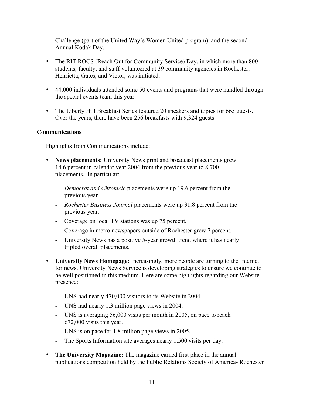Challenge (part of the United Way's Women United program), and the second Annual Kodak Day.

- The RIT ROCS (Reach Out for Community Service) Day, in which more than 800 students, faculty, and staff volunteered at 39 community agencies in Rochester, Henrietta, Gates, and Victor, was initiated.
- 44,000 individuals attended some 50 events and programs that were handled through the special events team this year.
- The Liberty Hill Breakfast Series featured 20 speakers and topics for 665 guests. Over the years, there have been 256 breakfasts with 9,324 guests.

#### **Communications**

Highlights from Communications include:

- **News placements:** University News print and broadcast placements grew 14.6 percent in calendar year 2004 from the previous year to 8,700 placements. In particular:
	- *Democrat and Chronicle* placements were up 19.6 percent from the previous year.
	- *Rochester Business Journal* placements were up 31.8 percent from the previous year.
	- Coverage on local TV stations was up 75 percent.
	- Coverage in metro newspapers outside of Rochester grew 7 percent.
	- University News has a positive 5-year growth trend where it has nearly tripled overall placements.
- **University News Homepage:** Increasingly, more people are turning to the Internet for news. University News Service is developing strategies to ensure we continue to be well positioned in this medium. Here are some highlights regarding our Website presence:
	- UNS had nearly 470,000 visitors to its Website in 2004.
	- UNS had nearly 1.3 million page views in 2004.
	- UNS is averaging 56,000 visits per month in 2005, on pace to reach 672,000 visits this year.
	- UNS is on pace for 1.8 million page views in 2005.
	- The Sports Information site averages nearly 1,500 visits per day.
- **The University Magazine:** The magazine earned first place in the annual publications competition held by the Public Relations Society of America- Rochester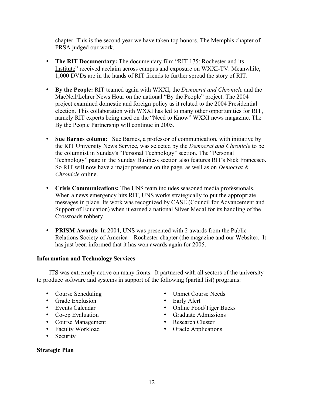chapter. This is the second year we have taken top honors. The Memphis chapter of PRSA judged our work.

- **The RIT Documentary:** The documentary film "RIT 175: Rochester and its Institute" received acclaim across campus and exposure on WXXI-TV. Meanwhile, 1,000 DVDs are in the hands of RIT friends to further spread the story of RIT.
- **By the People:** RIT teamed again with WXXI, the *Democrat and Chronicle* and the MacNeil/Lehrer News Hour on the national "By the People" project. The 2004 project examined domestic and foreign policy as it related to the 2004 Presidential election. This collaboration with WXXI has led to many other opportunities for RIT, namely RIT experts being used on the "Need to Know" WXXI news magazine. The By the People Partnership will continue in 2005.
- **Sue Barnes column:** Sue Barnes, a professor of communication, with initiative by the RIT University News Service, was selected by the *Democrat and Chronicle* to be the columnist in Sunday's "Personal Technology" section. The "Personal Technology" page in the Sunday Business section also features RIT's Nick Francesco. So RIT will now have a major presence on the page, as well as on *Democrat & Chronicle* online.
- **Crisis Communications:** The UNS team includes seasoned media professionals. When a news emergency hits RIT, UNS works strategically to put the appropriate messages in place. Its work was recognized by CASE (Council for Advancement and Support of Education) when it earned a national Silver Medal for its handling of the Crossroads robbery.
- **PRISM Awards:** In 2004, UNS was presented with 2 awards from the Public Relations Society of America – Rochester chapter (the magazine and our Website). It has just been informed that it has won awards again for 2005.

#### **Information and Technology Services**

ITS was extremely active on many fronts. It partnered with all sectors of the university to produce software and systems in support of the following (partial list) programs:

- 
- Grade Exclusion
- 
- 
- Co-op Evaluation Graduate Admiss<br>• Course Management Research Cluster • Course Management<br>• Faculty Workload
- 
- **Security**

### **Strategic Plan**

- Course Scheduling Unmet Course Needs<br>• Grade Exclusion Early Alert
	-
- Events Calendar Online Food/Tiger Bucks
	-
	-
- Faculty Workload Oracle Applications<br>• Security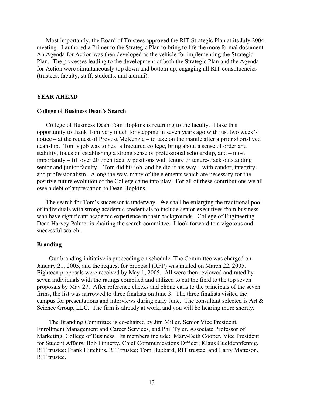Most importantly, the Board of Trustees approved the RIT Strategic Plan at its July 2004 meeting. I authored a Primer to the Strategic Plan to bring to life the more formal document. An Agenda for Action was then developed as the vehicle for implementing the Strategic Plan. The processes leading to the development of both the Strategic Plan and the Agenda for Action were simultaneously top down and bottom up, engaging all RIT constituencies (trustees, faculty, staff, students, and alumni).

#### **YEAR AHEAD**

#### **College of Business Dean's Search**

College of Business Dean Tom Hopkins is returning to the faculty. I take this opportunity to thank Tom very much for stepping in seven years ago with just two week's notice – at the request of Provost McKenzie – to take on the mantle after a prior short-lived deanship. Tom's job was to heal a fractured college, bring about a sense of order and stability, focus on establishing a strong sense of professional scholarship, and – most importantly – fill over 20 open faculty positions with tenure or tenure-track outstanding senior and junior faculty. Tom did his job, and he did it his way – with candor, integrity, and professionalism. Along the way, many of the elements which are necessary for the positive future evolution of the College came into play. For all of these contributions we all owe a debt of appreciation to Dean Hopkins.

The search for Tom's successor is underway. We shall be enlarging the traditional pool of individuals with strong academic credentials to include senior executives from business who have significant academic experience in their backgrounds. College of Engineering Dean Harvey Palmer is chairing the search committee. I look forward to a vigorous and successful search.

#### **Branding**

Our branding initiative is proceeding on schedule. The Committee was charged on January 21, 2005, and the request for proposal (RFP) was mailed on March 22, 2005. Eighteen proposals were received by May 1, 2005. All were then reviewed and rated by seven individuals with the ratings compiled and utilized to cut the field to the top seven proposals by May 27. After reference checks and phone calls to the principals of the seven firms, the list was narrowed to three finalists on June 3. The three finalists visited the campus for presentations and interviews during early June. The consultant selected is Art & Science Group, LLC**.** The firm is already at work, and you will be hearing more shortly.

The Branding Committee is co-chaired by Jim Miller, Senior Vice President, Enrollment Management and Career Services, and Phil Tyler, Associate Professor of Marketing, College of Business. Its members include: Mary-Beth Cooper, Vice President for Student Affairs; Bob Finnerty, Chief Communications Officer; Klaus Gueldenpfennig, RIT trustee; Frank Hutchins, RIT trustee; Tom Hubbard, RIT trustee; and Larry Matteson, RIT trustee.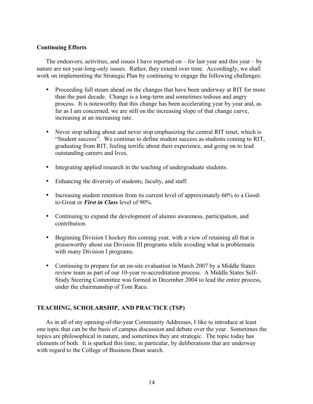#### **Continuing Efforts**

The endeavors, activities, and issues I have reported on  $-$  for last year and this year  $-$  by nature are not year-long-only issues. Rather, they extend over time. Accordingly, we shall work on implementing the Strategic Plan by continuing to engage the following challenges:

- Proceeding full steam ahead on the changes that have been underway at RIT for more than the past decade. Change is a long-term and sometimes tedious and angry process. It is noteworthy that this change has been accelerating year by year and, as far as I am concerned, we are still on the increasing slope of that change curve, increasing at an increasing rate.
- Never stop talking about and never stop emphasizing the central RIT tenet, which is "Student success". We continue to define student success as students coming to RIT, graduating from RIT, feeling terrific about their experience, and going on to lead outstanding careers and lives.
- Integrating applied research in the teaching of undergraduate students.
- Enhancing the diversity of students, faculty, and staff.
- Increasing student retention from its current level of approximately 60% to a Goodto-Great or *First in Class* level of 90%.
- Continuing to expand the development of alumni awareness, participation, and contribution.
- Beginning Division I hockey this coming year, with a view of retaining all that is praiseworthy about our Division III programs while avoiding what is problematic with many Division I programs.
- Continuing to prepare for an on-site evaluation in March 2007 by a Middle States review team as part of our 10-year re-accreditation process. A Middle States Self-Study Steering Committee was formed in December 2004 to lead the entire process, under the chairmanship of Tom Raco.

#### **TEACHING, SCHOLARSHIP, AND PRACTICE (TSP)**

As in all of my opening-of-the-year Community Addresses, I like to introduce at least one topic that can be the basis of campus discussion and debate over the year. Sometimes the topics are philosophical in nature, and sometimes they are strategic. The topic today has elements of both. It is sparked this time, in particular, by deliberations that are underway with regard to the College of Business Dean search.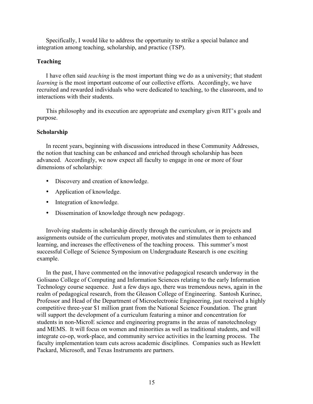Specifically, I would like to address the opportunity to strike a special balance and integration among teaching, scholarship, and practice (TSP).

#### **Teaching**

I have often said *teaching* is the most important thing we do as a university; that student *learning* is the most important outcome of our collective efforts. Accordingly, we have recruited and rewarded individuals who were dedicated to teaching, to the classroom, and to interactions with their students.

This philosophy and its execution are appropriate and exemplary given RIT's goals and purpose.

#### **Scholarship**

In recent years, beginning with discussions introduced in these Community Addresses, the notion that teaching can be enhanced and enriched through scholarship has been advanced. Accordingly, we now expect all faculty to engage in one or more of four dimensions of scholarship:

- Discovery and creation of knowledge.
- Application of knowledge.
- Integration of knowledge.
- Dissemination of knowledge through new pedagogy.

Involving students in scholarship directly through the curriculum, or in projects and assignments outside of the curriculum proper, motivates and stimulates them to enhanced learning, and increases the effectiveness of the teaching process. This summer's most successful College of Science Symposium on Undergraduate Research is one exciting example.

In the past, I have commented on the innovative pedagogical research underway in the Golisano College of Computing and Information Sciences relating to the early Information Technology course sequence. Just a few days ago, there was tremendous news, again in the realm of pedagogical research, from the Gleason College of Engineering. Santosh Kurinec, Professor and Head of the Department of Microelectronic Engineering, just received a highly competitive three-year \$1 million grant from the National Science Foundation. The grant will support the development of a curriculum featuring a minor and concentration for students in non-MicroE science and engineering programs in the areas of nanotechnology and MEMS. It will focus on women and minorities as well as traditional students, and will integrate co-op, work-place, and community service activities in the learning process. The faculty implementation team cuts across academic disciplines. Companies such as Hewlett Packard, Microsoft, and Texas Instruments are partners.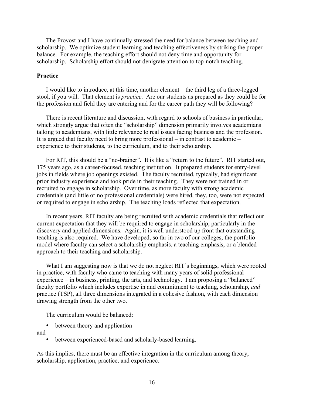The Provost and I have continually stressed the need for balance between teaching and scholarship. We optimize student learning and teaching effectiveness by striking the proper balance. For example, the teaching effort should not deny time and opportunity for scholarship. Scholarship effort should not denigrate attention to top-notch teaching.

#### **Practice**

I would like to introduce, at this time, another element – the third leg of a three-legged stool, if you will. That element is *practice*. Are our students as prepared as they could be for the profession and field they are entering and for the career path they will be following?

There is recent literature and discussion, with regard to schools of business in particular, which strongly argue that often the "scholarship" dimension primarily involves academians talking to academians, with little relevance to real issues facing business and the profession. It is argued that faculty need to bring more professional – in contrast to academic – experience to their students, to the curriculum, and to their scholarship.

For RIT, this should be a "no-brainer". It is like a "return to the future". RIT started out, 175 years ago, as a career-focused, teaching institution. It prepared students for entry-level jobs in fields where job openings existed. The faculty recruited, typically, had significant prior industry experience and took pride in their teaching. They were not trained in or recruited to engage in scholarship. Over time, as more faculty with strong academic credentials (and little or no professional credentials) were hired, they, too, were not expected or required to engage in scholarship. The teaching loads reflected that expectation.

In recent years, RIT faculty are being recruited with academic credentials that reflect our current expectation that they will be required to engage in scholarship, particularly in the discovery and applied dimensions. Again, it is well understood up front that outstanding teaching is also required. We have developed, so far in two of our colleges, the portfolio model where faculty can select a scholarship emphasis, a teaching emphasis, or a blended approach to their teaching and scholarship.

What I am suggesting now is that we do not neglect RIT's beginnings, which were rooted in practice, with faculty who came to teaching with many years of solid professional experience – in business, printing, the arts, and technology. I am proposing a "balanced" faculty portfolio which includes expertise in and commitment to teaching, scholarship, *and* practice (TSP), all three dimensions integrated in a cohesive fashion, with each dimension drawing strength from the other two.

The curriculum would be balanced:

• between theory and application

and

• between experienced-based and scholarly-based learning.

As this implies, there must be an effective integration in the curriculum among theory, scholarship, application, practice, and experience.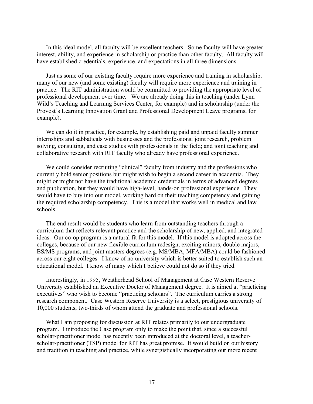In this ideal model, all faculty will be excellent teachers. Some faculty will have greater interest, ability, and experience in scholarship or practice than other faculty. All faculty will have established credentials, experience, and expectations in all three dimensions.

Just as some of our existing faculty require more experience and training in scholarship, many of our new (and some existing) faculty will require more experience and training in practice. The RIT administration would be committed to providing the appropriate level of professional development over time. We are already doing this in teaching (under Lynn Wild's Teaching and Learning Services Center, for example) and in scholarship (under the Provost's Learning Innovation Grant and Professional Development Leave programs, for example).

We can do it in practice, for example, by establishing paid and unpaid faculty summer internships and sabbaticals with businesses and the professions; joint research, problem solving, consulting, and case studies with professionals in the field; and joint teaching and collaborative research with RIT faculty who already have professional experience.

We could consider recruiting "clinical" faculty from industry and the professions who currently hold senior positions but might wish to begin a second career in academia. They might or might not have the traditional academic credentials in terms of advanced degrees and publication, but they would have high-level, hands-on professional experience. They would have to buy into our model, working hard on their teaching competency and gaining the required scholarship competency. This is a model that works well in medical and law schools.

The end result would be students who learn from outstanding teachers through a curriculum that reflects relevant practice and the scholarship of new, applied, and integrated ideas. Our co-op program is a natural fit for this model. If this model is adopted across the colleges, because of our new flexible curriculum redesign, exciting minors, double majors, BS/MS programs, and joint masters degrees (e.g. MS/MBA, MFA/MBA) could be fashioned across our eight colleges. I know of no university which is better suited to establish such an educational model. I know of many which I believe could not do so if they tried.

Interestingly, in 1995, Weatherhead School of Management at Case Western Reserve University established an Executive Doctor of Management degree. It is aimed at "practicing executives" who wish to become "practicing scholars". The curriculum carries a strong research component. Case Western Reserve University is a select, prestigious university of 10,000 students, two-thirds of whom attend the graduate and professional schools.

What I am proposing for discussion at RIT relates primarily to our undergraduate program. I introduce the Case program only to make the point that, since a successful scholar-practitioner model has recently been introduced at the doctoral level, a teacherscholar-practitioner (TSP) model for RIT has great promise. It would build on our history and tradition in teaching and practice, while synergistically incorporating our more recent